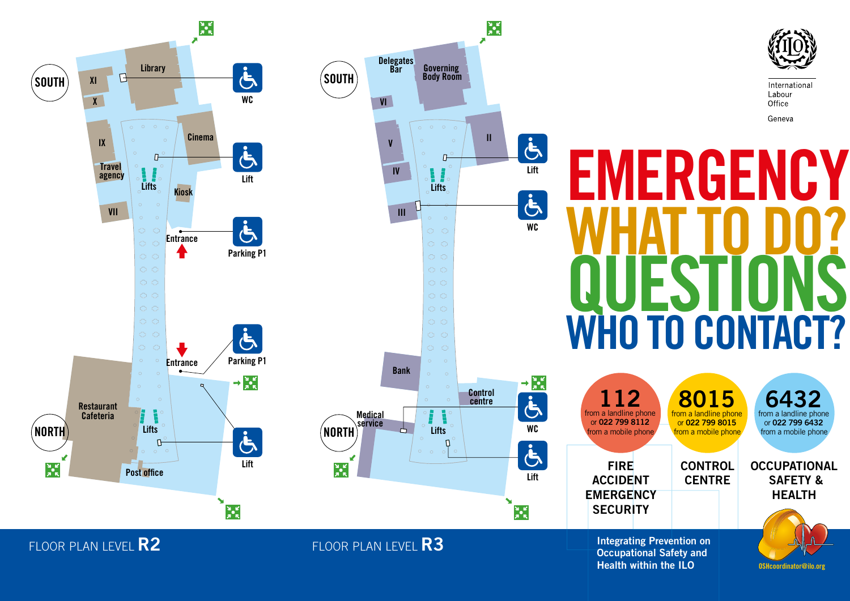

# International Labour Office Geneva **EMERGENCY** WHAT TO DO? QUESTIONS

2 from a landline phone or 022 799 8112 from a mobile phone FIRE ACCIDENT **EMERGENCY SECURITY** 8015 from a landline phone or 022 799 8015 from a mobile phone **CONTROL CENTRE** 64 from a landline phone or 022 799 6432 from a mobile phone **OCCUPATIONAL**  SAFETY & HEALTH

OSHcoordinator@ilo.org

Integrating Prevention on Occupational Safety and Health within the ILO